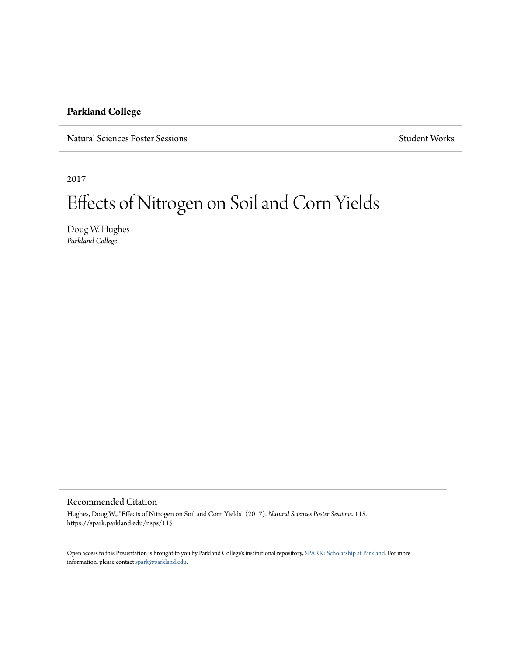#### **Parkland College**

Natural Sciences Poster Sessions Student Works Student Works Student Works Student Works

2017

#### Effects of Nitrogen on Soil and Corn Yields

Doug W. Hughes *Parkland College*

#### Recommended Citation

Hughes, Doug W., "Effects of Nitrogen on Soil and Corn Yields" (2017). *Natural Sciences Poster Sessions*. 115. https://spark.parkland.edu/nsps/115

Open access to this Presentation is brought to you by Parkland College's institutional repository, [SPARK: Scholarship at Parkland.](http://spark.parkland.edu/) For more information, please contact [spark@parkland.edu](mailto:spark@parkland.edu).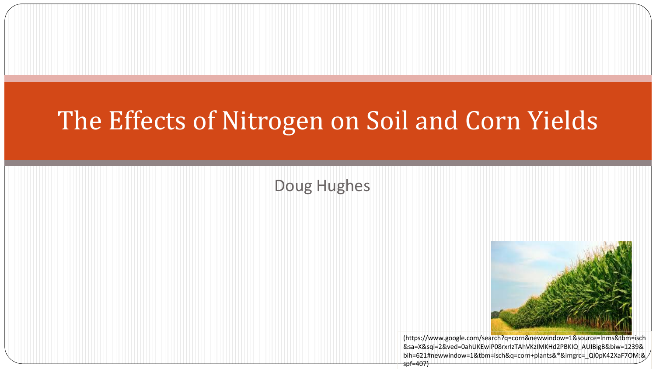## The Effects of Nitrogen on Soil and Corn Yields

#### Doug Hughes



(https://www.google.com/search?q=corn&newwindow=1&source=lnms&tbm=isch &sa=X&sqi=2&ved=0ahUKEwiP08rxrIzTAhVKzIMKHd2PBKIQ\_AUIBigB&biw=1239& bih=621#newwindow=1&tbm=isch&q=corn+plants&\*&imgrc=\_Ql0pK42XaF7OM:&  $spf=407$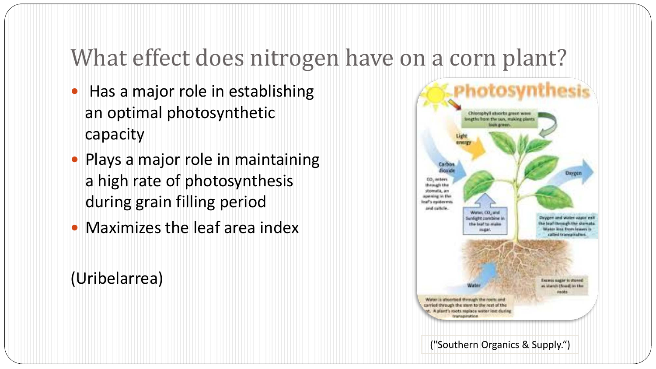#### What effect does nitrogen have on a corn plant?

- Has a major role in establishing an optimal photosynthetic capacity
- Plays a major role in maintaining a high rate of photosynthesis during grain filling period
- Maximizes the leaf area index

#### (Uribelarrea)

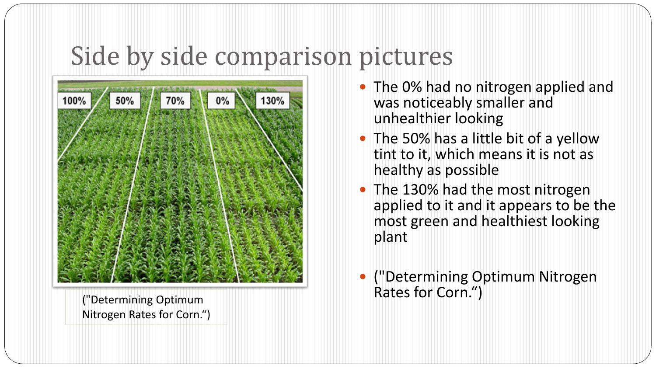### Side by side comparison pictures



("Determining Optimum Nitrogen Rates for Corn.")

- The 0% had no nitrogen applied and was noticeably smaller and unhealthier looking
- The 50% has a little bit of a yellow tint to it, which means it is not as healthy as possible
- The 130% had the most nitrogen applied to it and it appears to be the most green and healthiest looking plant
- ("Determining Optimum Nitrogen Rates for Corn.")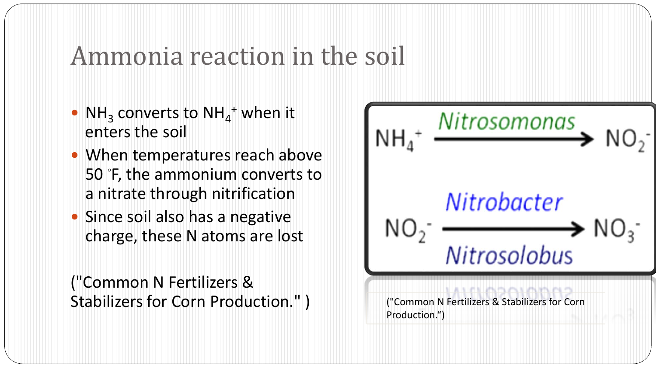#### Ammonia reaction in the soil

- $NH<sub>3</sub>$  converts to NH<sub>4</sub><sup>+</sup> when it enters the soil
- When temperatures reach above 50 ◦ F, the ammonium converts to a nitrate through nitrification
- Since soil also has a negative charge, these N atoms are lost

("Common N Fertilizers & Stabilizers for Corn Production." )

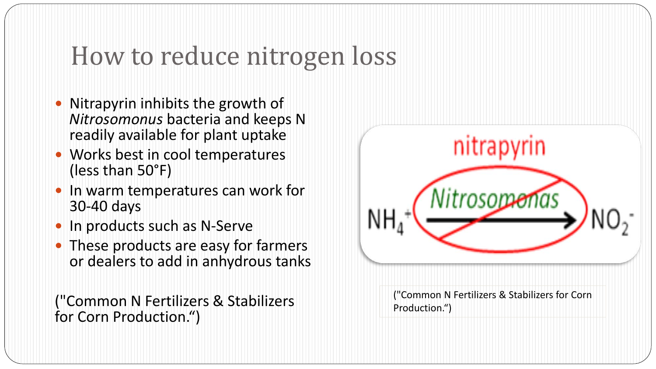## How to reduce nitrogen loss

- Nitrapyrin inhibits the growth of *Nitrosomonus* bacteria and keeps N readily available for plant uptake
- Works best in cool temperatures (less than 50°F)
- In warm temperatures can work for 30-40 days
- In products such as N-Serve
- These products are easy for farmers or dealers to add in anhydrous tanks

("Common N Fertilizers & Stabilizers for Corn Production.")

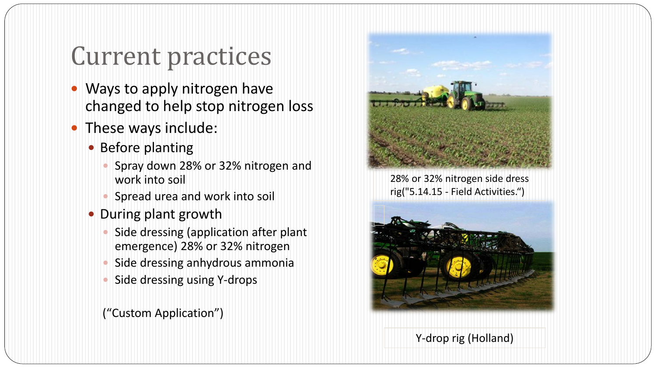### Current practices

- Ways to apply nitrogen have changed to help stop nitrogen loss
- These ways include:
	- Before planting
		- Spray down 28% or 32% nitrogen and work into soil
		- Spread urea and work into soil
	- During plant growth
		- Side dressing (application after plant emergence) 28% or 32% nitrogen
		- Side dressing anhydrous ammonia
		- Side dressing using Y-drops

("Custom Application")



28% or 32% nitrogen side dress rig("5.14.15 - Field Activities.")



Y-drop rig (Holland)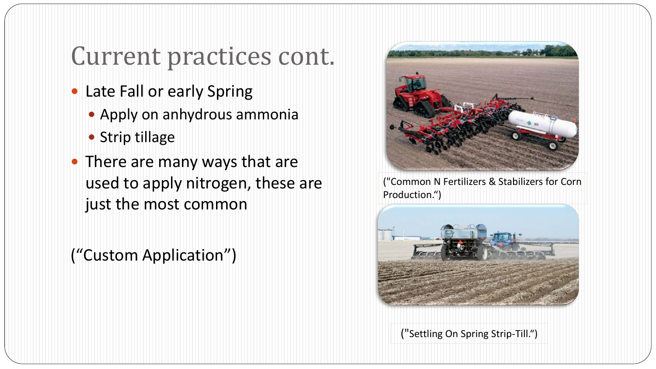### Current practices cont.

- Late Fall or early Spring
	- Apply on anhydrous ammonia
	- Strip tillage
- There are many ways that are used to apply nitrogen, these are just the most common

("Custom Application")



("Common N Fertilizers & Stabilizers for Corn Production.")



("Settling On Spring Strip-Till.")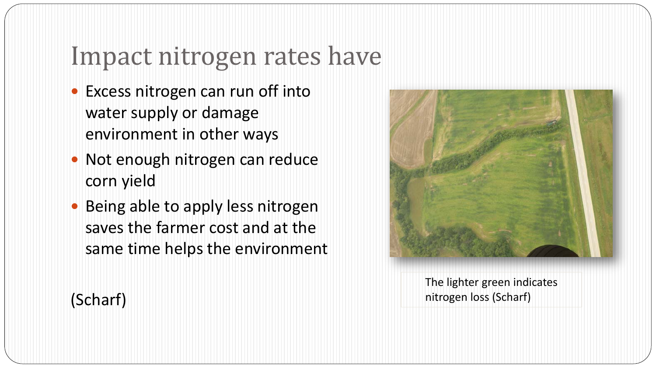#### Impact nitrogen rates have

- Excess nitrogen can run off into water supply or damage environment in other ways
- Not enough nitrogen can reduce corn yield
- Being able to apply less nitrogen saves the farmer cost and at the same time helps the environment



The lighter green indicates nitrogen loss (Scharf)

#### (Scharf)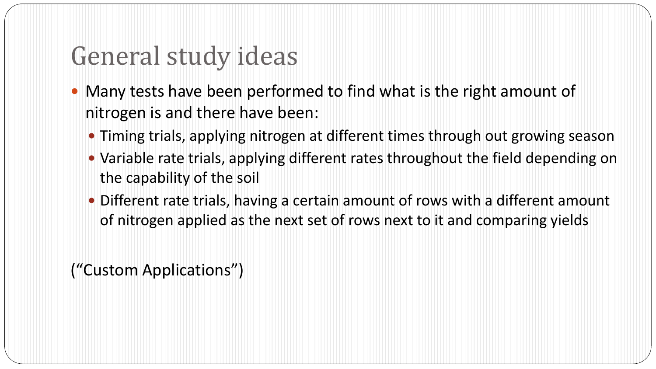### General study ideas

- Many tests have been performed to find what is the right amount of nitrogen is and there have been:
	- Timing trials, applying nitrogen at different times through out growing season
	- Variable rate trials, applying different rates throughout the field depending on the capability of the soil
	- Different rate trials, having a certain amount of rows with a different amount of nitrogen applied as the next set of rows next to it and comparing yields

("Custom Applications")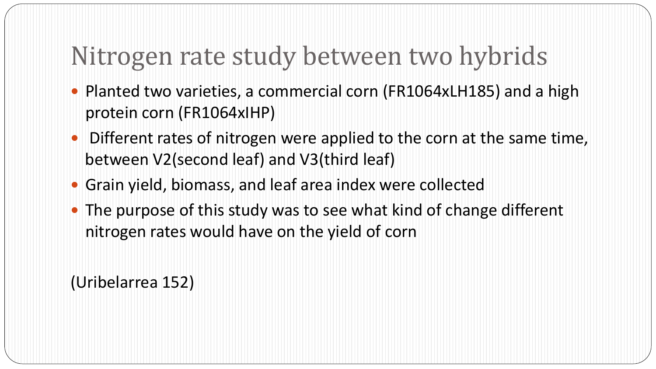## Nitrogen rate study between two hybrids

- Planted two varieties, a commercial corn (FR1064xLH185) and a high protein corn (FR1064xIHP)
- Different rates of nitrogen were applied to the corn at the same time, between V2(second leaf) and V3(third leaf)
- Grain yield, biomass, and leaf area index were collected
- The purpose of this study was to see what kind of change different nitrogen rates would have on the yield of corn

(Uribelarrea 152)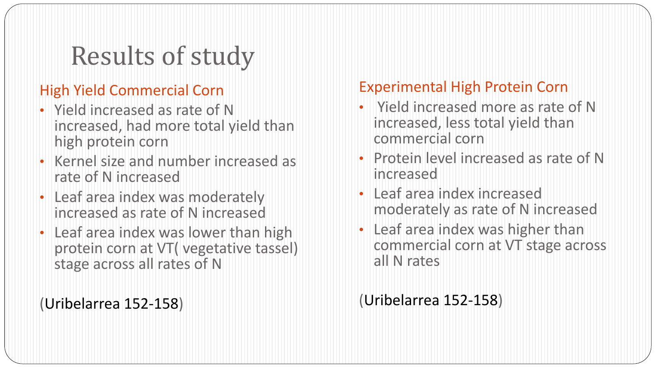# Results of study

#### High Yield Commercial Corn

- Yield increased as rate of N increased, had more total yield than high protein corn
- Kernel size and number increased as rate of N increased
- Leaf area index was moderately increased as rate of N increased
- Leaf area index was lower than high protein corn at VT( vegetative tassel) stage across all rates of N

(Uribelarrea 152-158)

#### Experimental High Protein Corn

- Yield increased more as rate of N increased, less total yield than commercial corn
- Protein level increased as rate of N increased
- Leaf area index increased moderately as rate of N increased
- Leaf area index was higher than commercial corn at VT stage across all N rates

(Uribelarrea 152-158)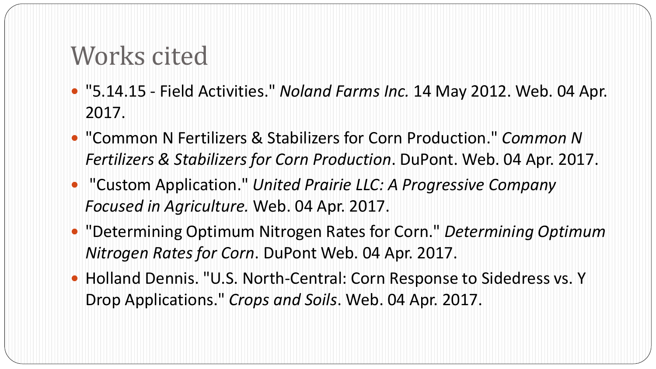### Works cited

- "5.14.15 Field Activities." *Noland Farms Inc.* 14 May 2012. Web. 04 Apr. 2017.
- "Common N Fertilizers & Stabilizers for Corn Production." *Common N Fertilizers & Stabilizers for Corn Production*. DuPont. Web. 04 Apr. 2017.
- "Custom Application." *United Prairie LLC: A Progressive Company Focused in Agriculture.* Web. 04 Apr. 2017.
- "Determining Optimum Nitrogen Rates for Corn." *Determining Optimum Nitrogen Rates for Corn*. DuPont Web. 04 Apr. 2017.
- Holland Dennis. "U.S. North-Central: Corn Response to Sidedress vs. Y Drop Applications." *Crops and Soils*. Web. 04 Apr. 2017.